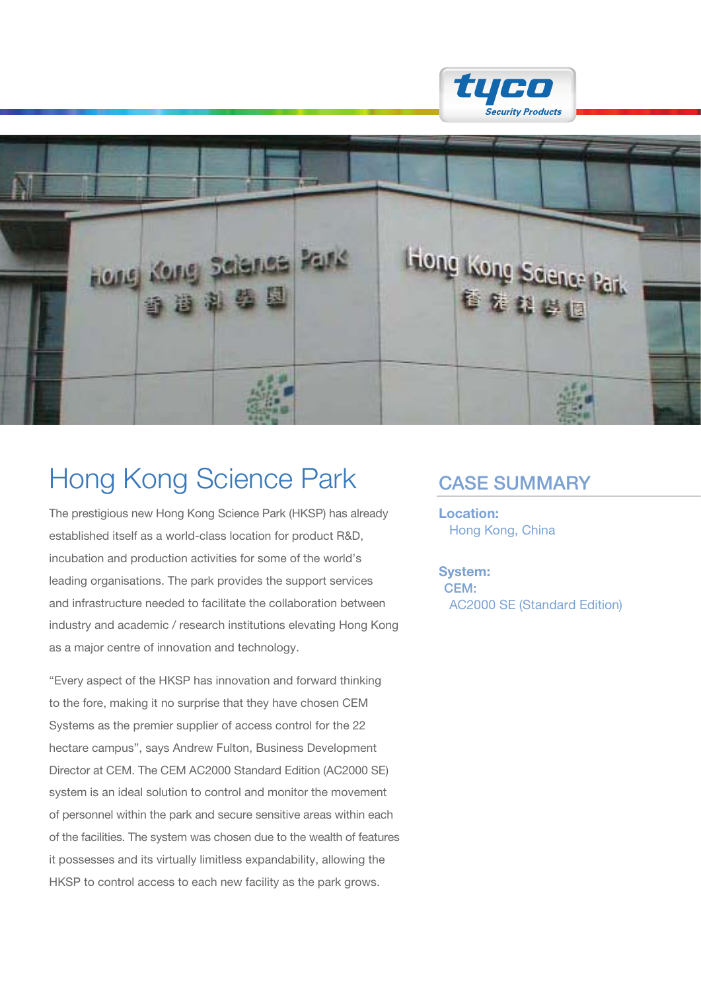



# Hong Kong Science Park CASE SUMMARY

The prestigious new Hong Kong Science Park (HKSP) has already established itself as a world-class location for product R&D, incubation and production activities for some of the world's leading organisations. The park provides the support services and infrastructure needed to facilitate the collaboration between industry and academic / research institutions elevating Hong Kong as a major centre of innovation and technology.

"Every aspect of the HKSP has innovation and forward thinking to the fore, making it no surprise that they have chosen CEM Systems as the premier supplier of access control for the 22 hectare campus", says Andrew Fulton, Business Development Director at CEM. The CEM AC2000 Standard Edition (AC2000 SE) system is an ideal solution to control and monitor the movement of personnel within the park and secure sensitive areas within each of the facilities. The system was chosen due to the wealth of features it possesses and its virtually limitless expandability, allowing the HKSP to control access to each new facility as the park grows.

Location: Hong Kong, China

System: CEM: AC2000 SE (Standard Edition)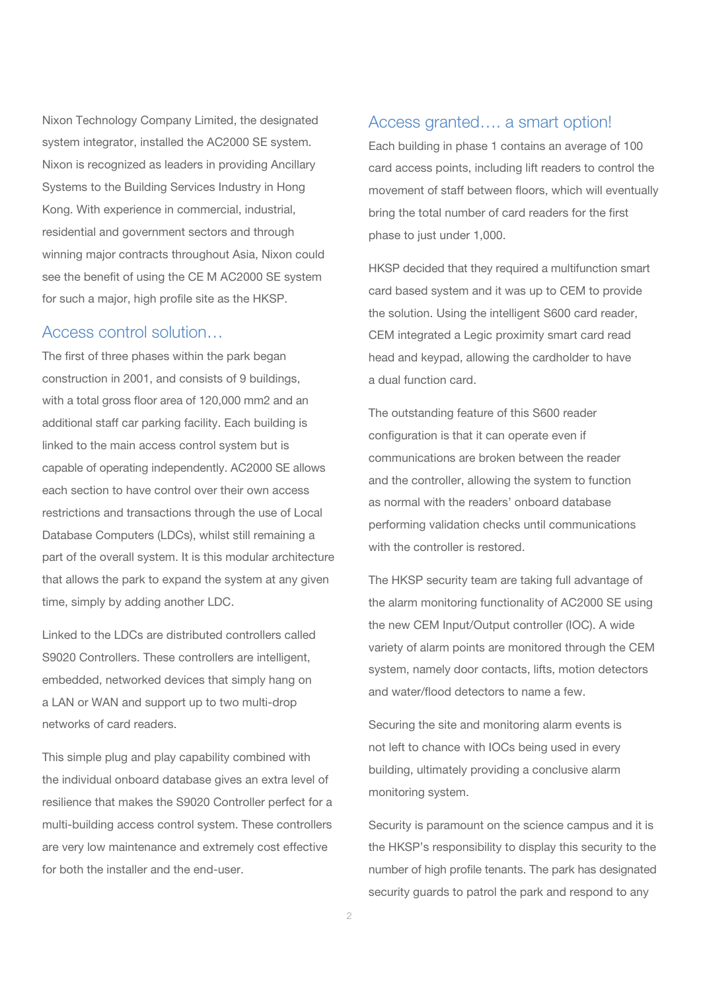Nixon Technology Company Limited, the designated system integrator, installed the AC2000 SE system. Nixon is recognized as leaders in providing Ancillary Systems to the Building Services Industry in Hong Kong. With experience in commercial, industrial, residential and government sectors and through winning major contracts throughout Asia, Nixon could see the benefit of using the CE M AC2000 SE system for such a major, high profile site as the HKSP.

### Access control solution…

The first of three phases within the park began construction in 2001, and consists of 9 buildings, with a total gross floor area of 120,000 mm2 and an additional staff car parking facility. Each building is linked to the main access control system but is capable of operating independently. AC2000 SE allows each section to have control over their own access restrictions and transactions through the use of Local Database Computers (LDCs), whilst still remaining a part of the overall system. It is this modular architecture that allows the park to expand the system at any given time, simply by adding another LDC.

Linked to the LDCs are distributed controllers called S9020 Controllers. These controllers are intelligent, embedded, networked devices that simply hang on a LAN or WAN and support up to two multi-drop networks of card readers.

This simple plug and play capability combined with the individual onboard database gives an extra level of resilience that makes the S9020 Controller perfect for a multi-building access control system. These controllers are very low maintenance and extremely cost effective for both the installer and the end-user.

#### Access granted…. a smart option!

Each building in phase 1 contains an average of 100 card access points, including lift readers to control the movement of staff between floors, which will eventually bring the total number of card readers for the first phase to just under 1,000.

HKSP decided that they required a multifunction smart card based system and it was up to CEM to provide the solution. Using the intelligent S600 card reader, CEM integrated a Legic proximity smart card read head and keypad, allowing the cardholder to have a dual function card.

The outstanding feature of this S600 reader configuration is that it can operate even if communications are broken between the reader and the controller, allowing the system to function as normal with the readers' onboard database performing validation checks until communications with the controller is restored.

The HKSP security team are taking full advantage of the alarm monitoring functionality of AC2000 SE using the new CEM Input/Output controller (IOC). A wide variety of alarm points are monitored through the CEM system, namely door contacts, lifts, motion detectors and water/flood detectors to name a few.

Securing the site and monitoring alarm events is not left to chance with IOCs being used in every building, ultimately providing a conclusive alarm monitoring system.

Security is paramount on the science campus and it is the HKSP's responsibility to display this security to the number of high profile tenants. The park has designated security guards to patrol the park and respond to any